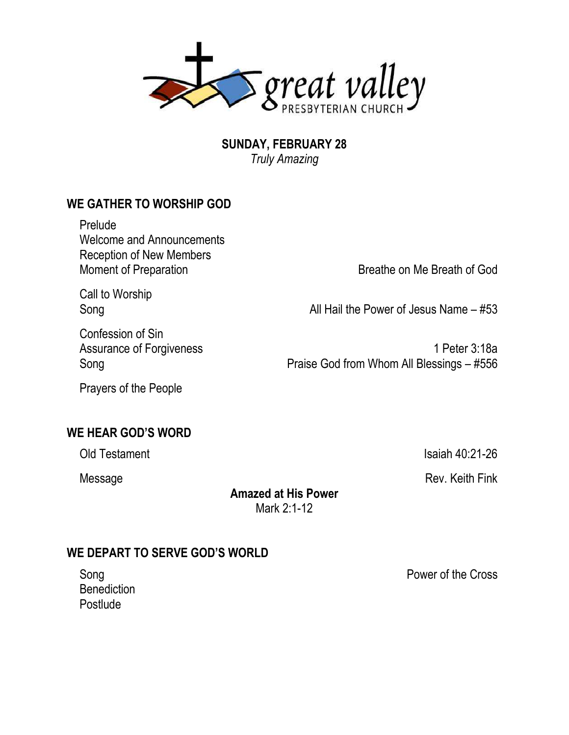

**SUNDAY, FEBRUARY 28** *Truly Amazing*

## **WE GATHER TO WORSHIP GOD**

Prelude Welcome and Announcements Reception of New Members Moment of Preparation **Breathe on Me Breath of God** 

Call to Worship

Song Song **All Hail the Power of Jesus Name – #53** 

Confession of Sin

Assurance of Forgiveness 1 Peter 3:18a Song **Praise God from Whom All Blessings – #556** 

Prayers of the People

### **WE HEAR GOD'S WORD**

Old Testament Isaiah 40:21-26

Message Rev. Keith Fink

**Amazed at His Power** Mark 2:1-12

### **WE DEPART TO SERVE GOD'S WORLD**

**Benediction** Postlude

Song **Power of the Cross**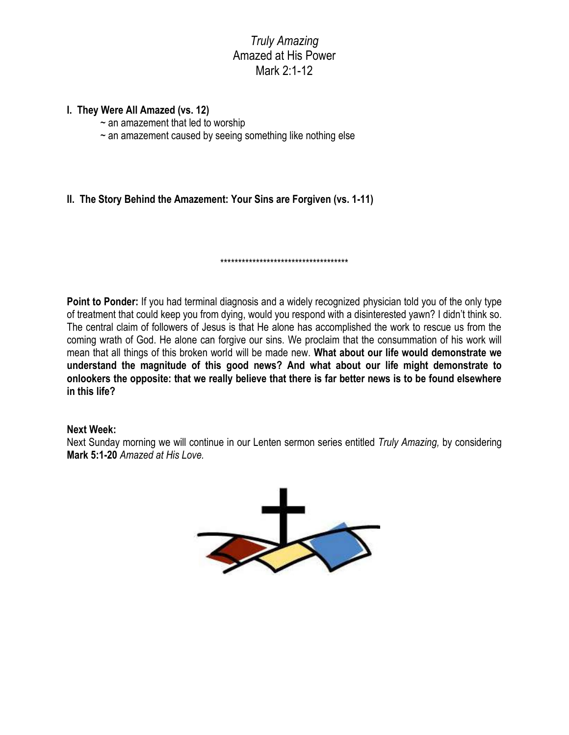### *Truly Amazing* Amazed at His Power Mark 2:1-12

#### **I. They Were All Amazed (vs. 12)**

- $\sim$  an amazement that led to worship
- $\sim$  an amazement caused by seeing something like nothing else
- **II. The Story Behind the Amazement: Your Sins are Forgiven (vs. 1-11)**

**Point to Ponder:** If you had terminal diagnosis and a widely recognized physician told you of the only type of treatment that could keep you from dying, would you respond with a disinterested yawn? I didn't think so. The central claim of followers of Jesus is that He alone has accomplished the work to rescue us from the coming wrath of God. He alone can forgive our sins. We proclaim that the consummation of his work will mean that all things of this broken world will be made new. **What about our life would demonstrate we understand the magnitude of this good news? And what about our life might demonstrate to onlookers the opposite: that we really believe that there is far better news is to be found elsewhere in this life?**

\*\*\*\*\*\*\*\*\*\*\*\*\*\*\*\*\*\*\*\*\*\*\*\*\*\*\*\*\*\*\*\*\*\*\*\*

#### **Next Week:**

Next Sunday morning we will continue in our Lenten sermon series entitled *Truly Amazing,* by considering **Mark 5:1-20** *Amazed at His Love.*

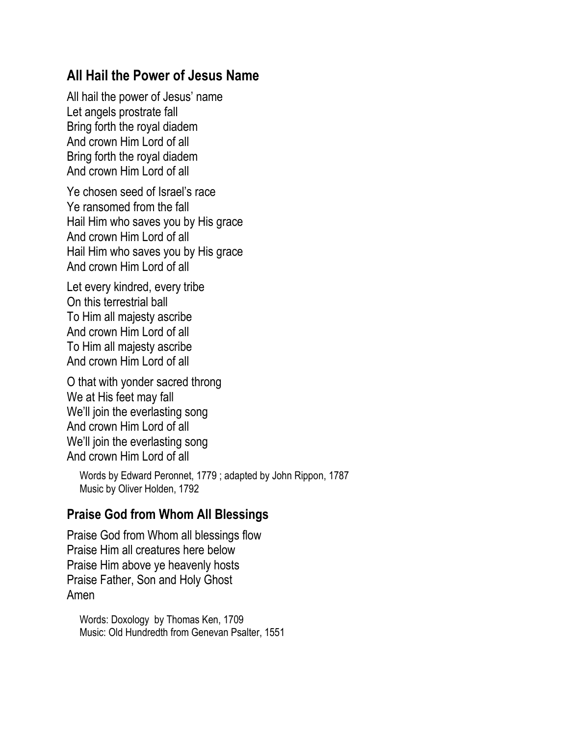# **All Hail the Power of Jesus Name**

All hail the power of Jesus' name Let angels prostrate fall Bring forth the royal diadem And crown Him Lord of all Bring forth the royal diadem And crown Him Lord of all

Ye chosen seed of Israel's race Ye ransomed from the fall Hail Him who saves you by His grace And crown Him Lord of all Hail Him who saves you by His grace And crown Him Lord of all

Let every kindred, every tribe On this terrestrial ball To Him all majesty ascribe And crown Him Lord of all To Him all majesty ascribe And crown Him Lord of all

O that with yonder sacred throng We at His feet may fall We'll join the everlasting song And crown Him Lord of all We'll join the everlasting song And crown Him Lord of all

Words by Edward Peronnet, 1779 ; adapted by John Rippon, 1787 Music by Oliver Holden, 1792

## **Praise God from Whom All Blessings**

Praise God from Whom all blessings flow Praise Him all creatures here below Praise Him above ye heavenly hosts Praise Father, Son and Holy Ghost Amen

Words: Doxology by Thomas Ken, 1709 Music: Old Hundredth from Genevan Psalter, 1551